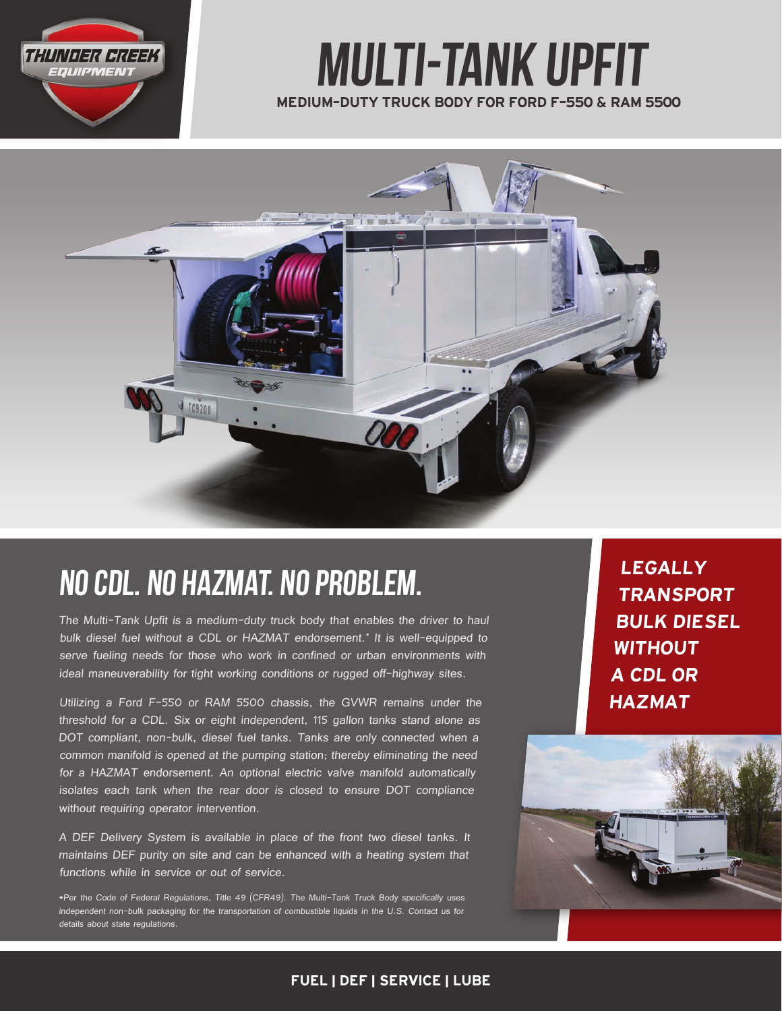

# MEDIUM-DUTY TRUCK BODY FOR FORD F-550 & RAM 5500 Multi-Tank upfit



# NO CDL. NO HAZMAT. NO PROBLEM.

The Multi-Tank Upfit is a medium-duty truck body that enables the driver to haul bulk diesel fuel without a CDL or HAZMAT endorsement.\* It is well-equipped to serve fueling needs for those who work in confined or urban environments with ideal maneuverability for tight working conditions or rugged off-highway sites.

Utilizing a Ford F-550 or RAM 5500 chassis, the GVWR remains under the threshold for a CDL. Six or eight independent, 115 gallon tanks stand alone as DOT compliant, non-bulk, diesel fuel tanks. Tanks are only connected when a common manifold is opened at the pumping station; thereby eliminating the need for a HAZMAT endorsement. An optional electric valve manifold automatically isolates each tank when the rear door is closed to ensure DOT compliance without requiring operator intervention.

A DEF Delivery System is available in place of the front two diesel tanks. It maintains DEF purity on site and can be enhanced with a heating system that functions while in service or out of service.

\*Per the Code of Federal Regulations, Title 49 (CFR49). The Multi-Tank Truck Body specifically uses independent non-bulk packaging for the transportation of combustible liquids in the U.S. Contact us for details about state regulations.

LEGALLY TRANSPORT BULK DIESEL WITHOUT A CDL OR HAZMAT



### FUEL | DEF | SERVICE | LUBE